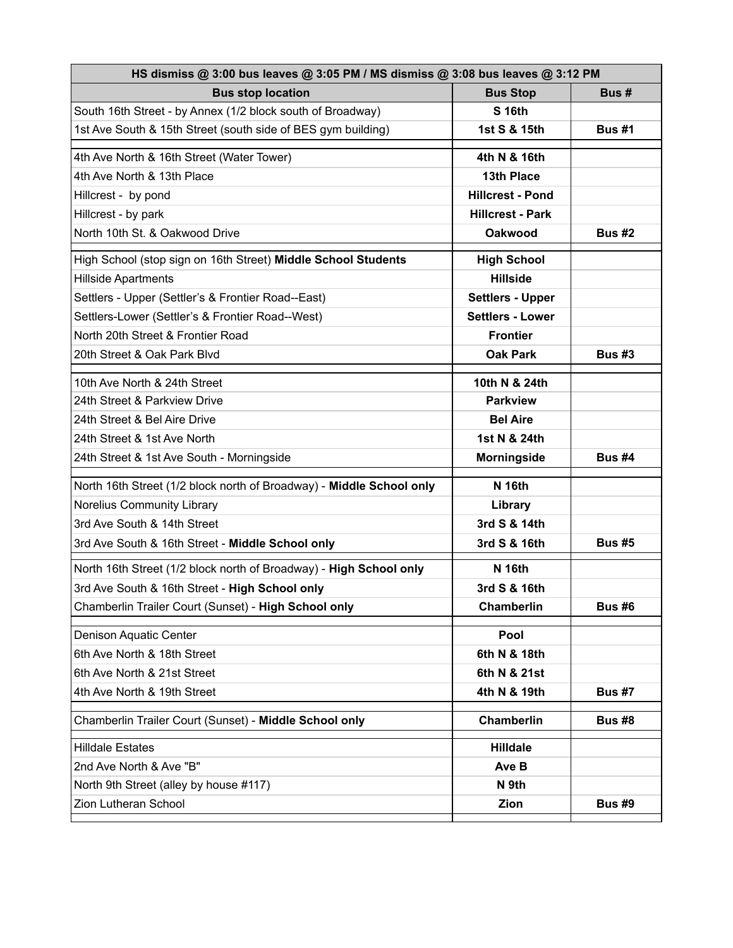| HS dismiss @ 3:00 bus leaves @ 3:05 PM / MS dismiss @ 3:08 bus leaves @ 3:12 PM |                         |               |  |
|---------------------------------------------------------------------------------|-------------------------|---------------|--|
| <b>Bus stop location</b>                                                        | <b>Bus Stop</b>         | Bus #         |  |
| South 16th Street - by Annex (1/2 block south of Broadway)                      | <b>S 16th</b>           |               |  |
| 1st Ave South & 15th Street (south side of BES gym building)                    | 1st S & 15th            | <b>Bus #1</b> |  |
| 4th Ave North & 16th Street (Water Tower)                                       | 4th N & 16th            |               |  |
| 4th Ave North & 13th Place                                                      | 13th Place              |               |  |
| Hillcrest - by pond                                                             | <b>Hillcrest - Pond</b> |               |  |
| Hillcrest - by park                                                             | <b>Hillcrest - Park</b> |               |  |
| North 10th St. & Oakwood Drive                                                  | <b>Oakwood</b>          | <b>Bus #2</b> |  |
| High School (stop sign on 16th Street) Middle School Students                   | <b>High School</b>      |               |  |
| <b>Hillside Apartments</b>                                                      | <b>Hillside</b>         |               |  |
| Settlers - Upper (Settler's & Frontier Road--East)                              | <b>Settlers - Upper</b> |               |  |
| Settlers-Lower (Settler's & Frontier Road--West)                                | <b>Settlers - Lower</b> |               |  |
| North 20th Street & Frontier Road                                               | <b>Frontier</b>         |               |  |
| 20th Street & Oak Park Blvd                                                     | <b>Oak Park</b>         | <b>Bus #3</b> |  |
| 10th Ave North & 24th Street                                                    | 10th N & 24th           |               |  |
| 24th Street & Parkview Drive                                                    | <b>Parkview</b>         |               |  |
| 24th Street & Bel Aire Drive                                                    | <b>Bel Aire</b>         |               |  |
| 24th Street & 1st Ave North                                                     | 1st N & 24th            |               |  |
| 24th Street & 1st Ave South - Morningside                                       | <b>Morningside</b>      | <b>Bus #4</b> |  |
| North 16th Street (1/2 block north of Broadway) - Middle School only            | <b>N</b> 16th           |               |  |
| Norelius Community Library                                                      | Library                 |               |  |
| 3rd Ave South & 14th Street                                                     | 3rd S & 14th            |               |  |
| 3rd Ave South & 16th Street - Middle School only                                | 3rd S & 16th            | <b>Bus #5</b> |  |
| North 16th Street (1/2 block north of Broadway) - High School only              | <b>N</b> 16th           |               |  |
| 3rd Ave South & 16th Street - High School only                                  | 3rd S & 16th            |               |  |
| Chamberlin Trailer Court (Sunset) - High School only                            | Chamberlin              | <b>Bus #6</b> |  |
| Denison Aquatic Center                                                          | Pool                    |               |  |
| 6th Ave North & 18th Street                                                     | 6th N & 18th            |               |  |
| 6th Ave North & 21st Street                                                     | 6th N & 21st            |               |  |
| 4th Ave North & 19th Street                                                     | 4th N & 19th            | <b>Bus #7</b> |  |
| Chamberlin Trailer Court (Sunset) - Middle School only                          | <b>Chamberlin</b>       | <b>Bus #8</b> |  |
| <b>Hilldale Estates</b>                                                         | <b>Hilldale</b>         |               |  |
| 2nd Ave North & Ave "B"                                                         | Ave B                   |               |  |
| North 9th Street (alley by house #117)                                          | N 9th                   |               |  |
| Zion Lutheran School                                                            | Zion                    | <b>Bus #9</b> |  |